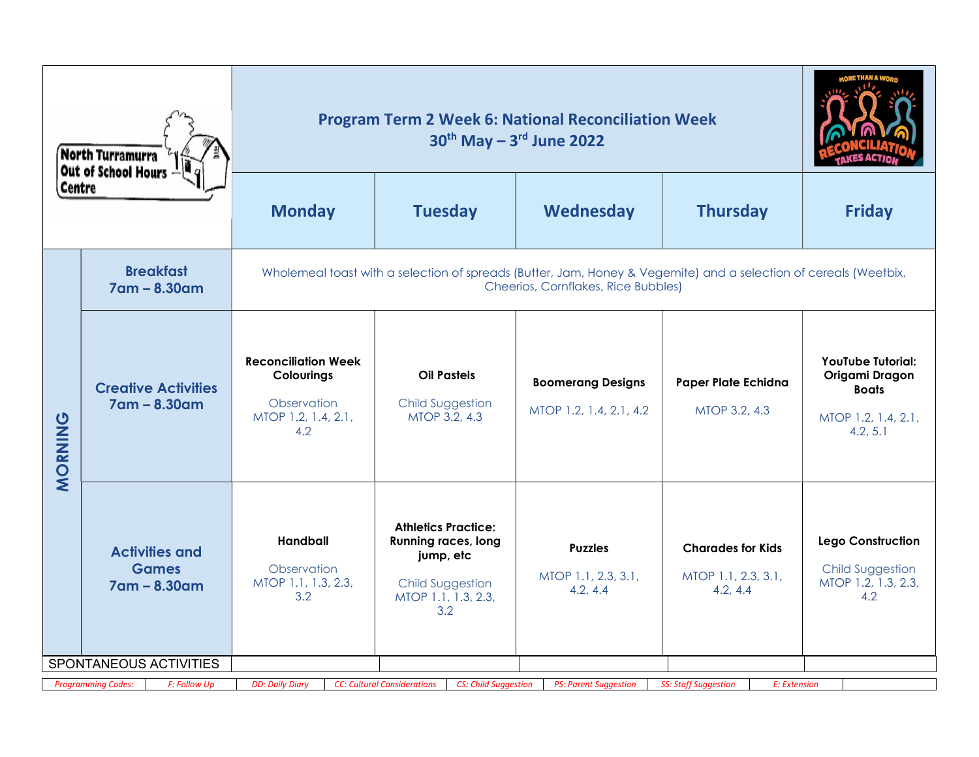| North Turramurra<br>Out of School Hours<br>Centre                                                                                                                                                                       |                                                          | <b>Program Term 2 Week 6: National Reconciliation Week</b>                                                                                              |                                                                                                                         |                                                     |                                                             |                                                                                               |  |  |
|-------------------------------------------------------------------------------------------------------------------------------------------------------------------------------------------------------------------------|----------------------------------------------------------|---------------------------------------------------------------------------------------------------------------------------------------------------------|-------------------------------------------------------------------------------------------------------------------------|-----------------------------------------------------|-------------------------------------------------------------|-----------------------------------------------------------------------------------------------|--|--|
|                                                                                                                                                                                                                         |                                                          | <b>Monday</b>                                                                                                                                           | <b>Tuesday</b>                                                                                                          | <b>Wednesday</b>                                    | <b>Thursday</b>                                             | <b>Friday</b>                                                                                 |  |  |
| MORNING                                                                                                                                                                                                                 | <b>Breakfast</b><br>$7$ am – 8.30am                      | Wholemeal toast with a selection of spreads (Butter, Jam, Honey & Vegemite) and a selection of cereals (Weetbix,<br>Cheerios, Cornflakes, Rice Bubbles) |                                                                                                                         |                                                     |                                                             |                                                                                               |  |  |
|                                                                                                                                                                                                                         | <b>Creative Activities</b><br>$7$ am – 8.30am            | <b>Reconciliation Week</b><br>Colourings<br>Observation<br>MTOP 1.2, 1.4, 2.1,<br>4.2                                                                   | <b>Oil Pastels</b><br><b>Child Suggestion</b><br>MTOP 3.2, 4.3                                                          | <b>Boomerang Designs</b><br>MTOP 1.2, 1.4, 2.1, 4.2 | Paper Plate Echidna<br>MTOP 3.2, 4.3                        | <b>YouTube Tutorial:</b><br>Origami Dragon<br><b>Boats</b><br>MTOP 1.2, 1.4, 2.1,<br>4.2, 5.1 |  |  |
|                                                                                                                                                                                                                         | <b>Activities and</b><br><b>Games</b><br>$7$ am – 8.30am | <b>Handball</b><br>Observation<br>MTOP 1.1, 1.3, 2.3,<br>3.2                                                                                            | <b>Athletics Practice:</b><br><b>Running races, long</b><br>jump, etc<br>Child Suggestion<br>MTOP 1.1, 1.3, 2.3,<br>3.2 | <b>Puzzles</b><br>MTOP 1.1, 2.3, 3.1,<br>4.2, 4.4   | <b>Charades for Kids</b><br>MTOP 1.1, 2.3, 3.1,<br>4.2, 4.4 | <b>Lego Construction</b><br>Child Suggestion<br>MTOP 1.2, 1.3, 2.3,<br>4.2                    |  |  |
| SPONTANEOUS ACTIVITIES                                                                                                                                                                                                  |                                                          |                                                                                                                                                         |                                                                                                                         |                                                     |                                                             |                                                                                               |  |  |
| <b>CC: Cultural Considerations</b><br><b>CS: Child Suggestion</b><br><b>SS: Staff Suggestion</b><br>F: Follow Up<br><b>DD: Daily Diary</b><br><b>PS: Parent Suggestion</b><br>E: Extension<br><b>Programming Codes:</b> |                                                          |                                                                                                                                                         |                                                                                                                         |                                                     |                                                             |                                                                                               |  |  |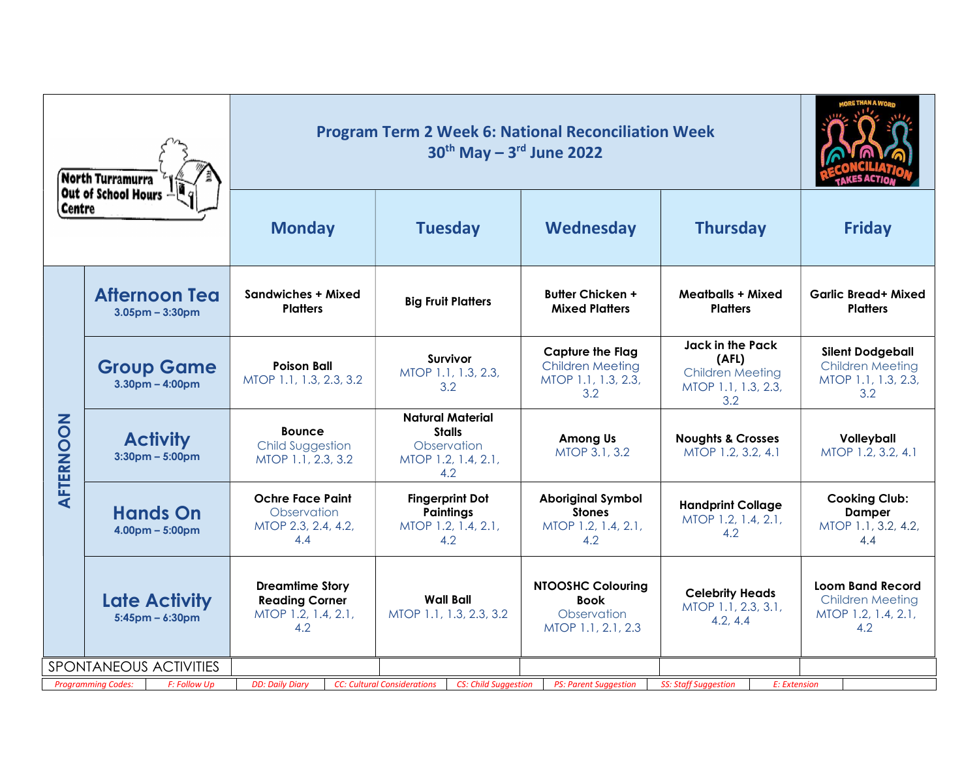| North Turramurra<br>Out of School Hours<br>Centre |                                                  | <b>Program Term 2 Week 6: National Reconciliation Week</b>                    |                                                                                       |                                                                                  |                                                                                           |                                                                                  |  |
|---------------------------------------------------|--------------------------------------------------|-------------------------------------------------------------------------------|---------------------------------------------------------------------------------------|----------------------------------------------------------------------------------|-------------------------------------------------------------------------------------------|----------------------------------------------------------------------------------|--|
|                                                   |                                                  | <b>Monday</b>                                                                 | <b>Tuesday</b>                                                                        | Wednesday                                                                        | <b>Thursday</b>                                                                           | <b>Friday</b>                                                                    |  |
| AFTERNOON                                         | <b>Afternoon Tea</b><br>$3.05$ pm – $3:30$ pm    | <b>Sandwiches + Mixed</b><br><b>Platters</b>                                  | <b>Big Fruit Platters</b>                                                             | <b>Butter Chicken +</b><br><b>Mixed Platters</b>                                 | <b>Meatballs + Mixed</b><br><b>Platters</b>                                               | <b>Garlic Bread+ Mixed</b><br><b>Platters</b>                                    |  |
|                                                   | <b>Group Game</b><br>$3.30pm - 4:00pm$           | <b>Poison Ball</b><br>MTOP 1.1, 1.3, 2.3, 3.2                                 | <b>Survivor</b><br>MTOP 1.1, 1.3, 2.3,<br>3.2                                         | <b>Capture the Flag</b><br><b>Children Meeting</b><br>MTOP 1.1, 1.3, 2.3,<br>3.2 | <b>Jack in the Pack</b><br>(AFL)<br><b>Children Meeting</b><br>MTOP 1.1, 1.3, 2.3,<br>3.2 | <b>Silent Dodgeball</b><br><b>Children Meeting</b><br>MTOP 1.1, 1.3, 2.3,<br>3.2 |  |
|                                                   | <b>Activity</b><br>$3:30$ pm – $5:00$ pm         | <b>Bounce</b><br>Child Suggestion<br>MTOP 1.1, 2.3, 3.2                       | <b>Natural Material</b><br><b>Stalls</b><br>Observation<br>MTOP 1.2, 1.4, 2.1,<br>4.2 | Among Us<br>MTOP 3.1, 3.2                                                        | <b>Noughts &amp; Crosses</b><br>MTOP 1.2, 3.2, 4.1                                        | Volleyball<br>MTOP 1.2, 3.2, 4.1                                                 |  |
|                                                   | <b>Hands On</b><br>$4.00pm - 5:00pm$             | <b>Ochre Face Paint</b><br>Observation<br>MTOP 2.3, 2.4, 4.2,<br>4.4          | <b>Fingerprint Dot</b><br><b>Paintings</b><br>MTOP 1.2, 1.4, 2.1,<br>4.2              | <b>Aboriginal Symbol</b><br><b>Stones</b><br>MTOP 1.2, 1.4, 2.1,<br>4.2          | <b>Handprint Collage</b><br>MTOP 1.2, 1.4, 2.1,<br>4.2                                    | <b>Cooking Club:</b><br>Damper<br>MTOP 1.1, 3.2, 4.2,<br>4.4                     |  |
|                                                   | <b>Late Activity</b><br>$5:45$ pm – 6:30pm       | <b>Dreamtime Story</b><br><b>Reading Corner</b><br>MTOP 1.2, 1.4, 2.1,<br>4.2 | <b>Wall Ball</b><br>MTOP 1.1, 1.3, 2.3, 3.2                                           | <b>NTOOSHC Colouring</b><br><b>Book</b><br>Observation<br>MTOP 1.1, 2.1, 2.3     | <b>Celebrity Heads</b><br>MTOP 1.1, 2.3, 3.1,<br>4.2, 4.4                                 | <b>Loom Band Record</b><br><b>Children Meeting</b><br>MTOP 1.2, 1.4, 2.1,<br>4.2 |  |
|                                                   | SPONTANEOUS ACTIVITIES                           |                                                                               |                                                                                       |                                                                                  |                                                                                           |                                                                                  |  |
|                                                   | <b>F: Follow Up</b><br><b>Programming Codes:</b> | <b>DD: Daily Diary</b>                                                        | <b>CS: Child Suggestion</b><br><b>CC: Cultural Considerations</b>                     | <b>PS: Parent Suggestion</b>                                                     | <b>SS: Staff Suggestion</b><br>E: Extension                                               |                                                                                  |  |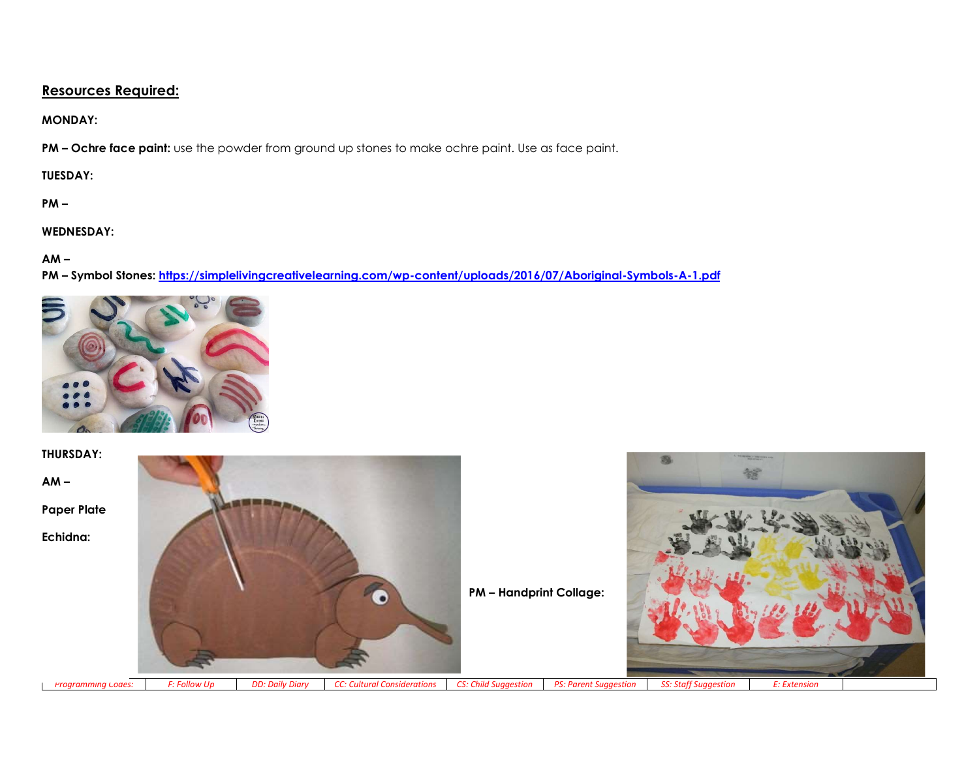## Resources Required:

MONDAY:

PM – Ochre face paint: use the powder from ground up stones to make ochre paint. Use as face paint.

TUESDAY:

PM –

WEDNESDAY:

 $AM -$ 

PM – Symbol Stones: https://simplelivingcreativelearning.com/wp-content/uploads/2016/07/Aboriginal-Symbols-A-1.pdf



THURSDAY:

 $AM -$ 

Paper Plate

Echidna:



PM – Handprint Collage:



Programming Codes: F: Follow Up DD: Daily Diary CC: Cultural Considerations CS: Child Suggestion PS: Parent Suggestion SS: Staff Suggestion E: Extension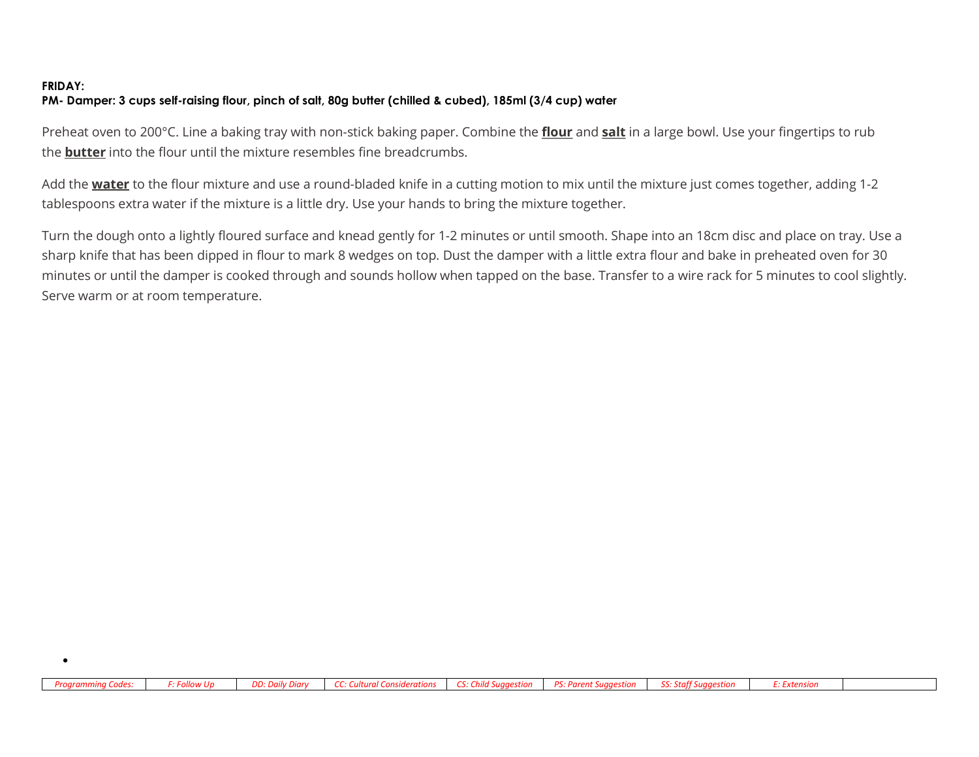## FRIDAY: PM- Damper: 3 cups self-raising flour, pinch of salt, 80g butter (chilled & cubed), 185ml (3/4 cup) water

 $\bullet$ 

Preheat oven to 200°C. Line a baking tray with non-stick baking paper. Combine the flour and salt in a large bowl. Use your fingertips to rub the **butter** into the flour until the mixture resembles fine breadcrumbs.

Add the **water** to the flour mixture and use a round-bladed knife in a cutting motion to mix until the mixture just comes together, adding 1-2 tablespoons extra water if the mixture is a little dry. Use your hands to bring the mixture together.

Turn the dough onto a lightly floured surface and knead gently for 1-2 minutes or until smooth. Shape into an 18cm disc and place on tray. Use a sharp knife that has been dipped in flour to mark 8 wedges on top. Dust the damper with a little extra flour and bake in preheated oven for 30 minutes or until the damper is cooked through and sounds hollow when tapped on the base. Transfer to a wire rack for 5 minutes to cool slightly. Serve warm or at room temperature.

|  | Programming Codes: F: Follow Up DD: Daily Diary CC: Cultural Considerations CS: Child Suggestion PS: Parent Suggestion SS: Staff Suggestion E: Extension |  |  |  |
|--|----------------------------------------------------------------------------------------------------------------------------------------------------------|--|--|--|